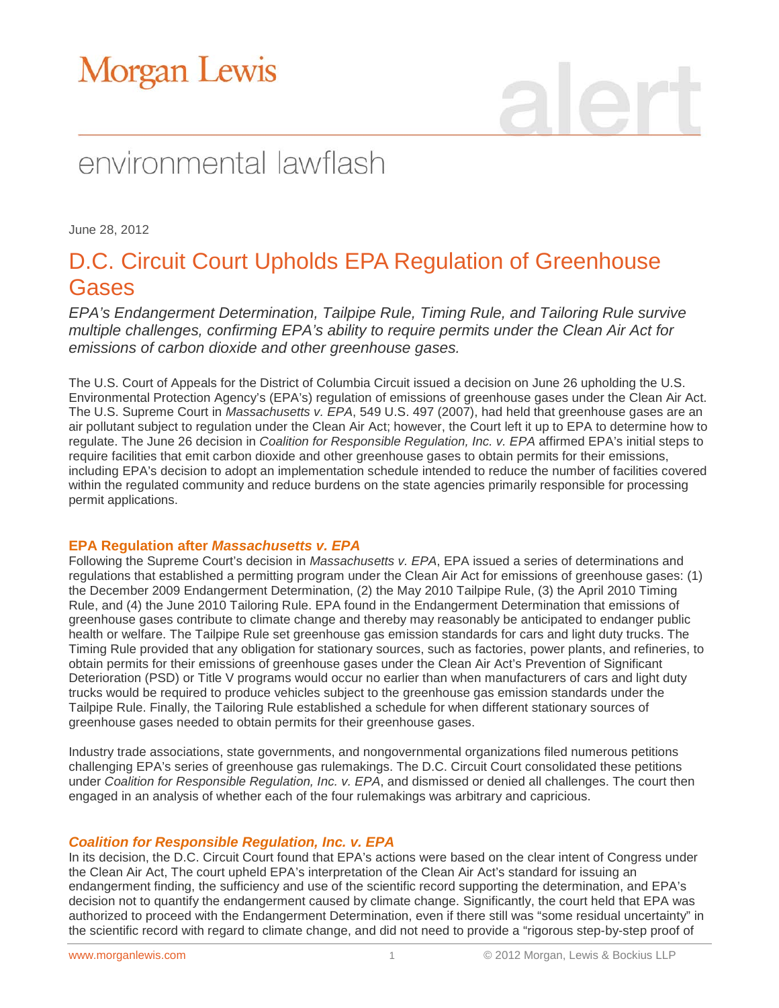# environmental lawflash

June 28, 2012

### D.C. Circuit Court Upholds EPA Regulation of Greenhouse Gases

*EPA's Endangerment Determination, Tailpipe Rule, Timing Rule, and Tailoring Rule survive multiple challenges, confirming EPA's ability to require permits under the Clean Air Act for emissions of carbon dioxide and other greenhouse gases.* 

The U.S. Court of Appeals for the District of Columbia Circuit issued a decision on June 26 upholding the U.S. Environmental Protection Agency's (EPA's) regulation of emissions of greenhouse gases under the Clean Air Act. The U.S. Supreme Court in *Massachusetts v. EPA*, 549 U.S. 497 (2007), had held that greenhouse gases are an air pollutant subject to regulation under the Clean Air Act; however, the Court left it up to EPA to determine how to regulate. The June 26 decision in *Coalition for Responsible Regulation, Inc. v. EPA* affirmed EPA's initial steps to require facilities that emit carbon dioxide and other greenhouse gases to obtain permits for their emissions, including EPA's decision to adopt an implementation schedule intended to reduce the number of facilities covered within the regulated community and reduce burdens on the state agencies primarily responsible for processing permit applications.

#### **EPA Regulation after** *Massachusetts v. EPA*

Following the Supreme Court's decision in *Massachusetts v. EPA*, EPA issued a series of determinations and regulations that established a permitting program under the Clean Air Act for emissions of greenhouse gases: (1) the December 2009 Endangerment Determination, (2) the May 2010 Tailpipe Rule, (3) the April 2010 Timing Rule, and (4) the June 2010 Tailoring Rule. EPA found in the Endangerment Determination that emissions of greenhouse gases contribute to climate change and thereby may reasonably be anticipated to endanger public health or welfare. The Tailpipe Rule set greenhouse gas emission standards for cars and light duty trucks. The Timing Rule provided that any obligation for stationary sources, such as factories, power plants, and refineries, to obtain permits for their emissions of greenhouse gases under the Clean Air Act's Prevention of Significant Deterioration (PSD) or Title V programs would occur no earlier than when manufacturers of cars and light duty trucks would be required to produce vehicles subject to the greenhouse gas emission standards under the Tailpipe Rule. Finally, the Tailoring Rule established a schedule for when different stationary sources of greenhouse gases needed to obtain permits for their greenhouse gases.

Industry trade associations, state governments, and nongovernmental organizations filed numerous petitions challenging EPA's series of greenhouse gas rulemakings. The D.C. Circuit Court consolidated these petitions under *Coalition for Responsible Regulation, Inc. v. EPA*, and dismissed or denied all challenges. The court then engaged in an analysis of whether each of the four rulemakings was arbitrary and capricious.

#### *Coalition for Responsible Regulation, Inc. v. EPA*

In its decision, the D.C. Circuit Court found that EPA's actions were based on the clear intent of Congress under the Clean Air Act, The court upheld EPA's interpretation of the Clean Air Act's standard for issuing an endangerment finding, the sufficiency and use of the scientific record supporting the determination, and EPA's decision not to quantify the endangerment caused by climate change. Significantly, the court held that EPA was authorized to proceed with the Endangerment Determination, even if there still was "some residual uncertainty" in the scientific record with regard to climate change, and did not need to provide a "rigorous step-by-step proof of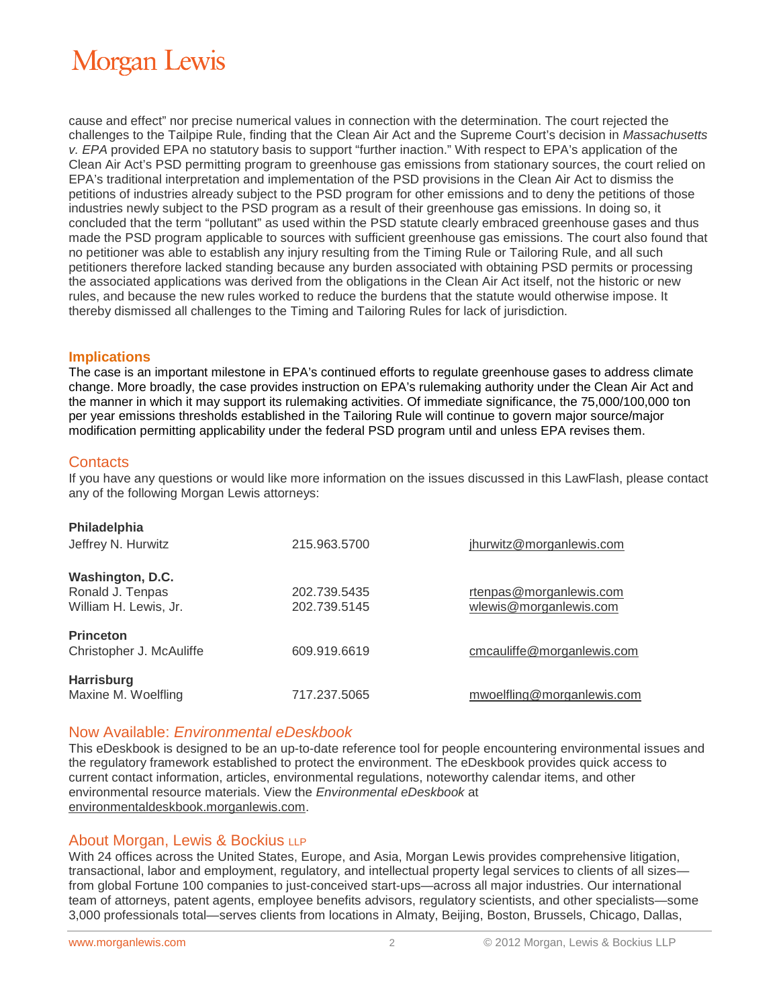## **Morgan Lewis**

cause and effect" nor precise numerical values in connection with the determination. The court rejected the challenges to the Tailpipe Rule, finding that the Clean Air Act and the Supreme Court's decision in *Massachusetts v. EPA* provided EPA no statutory basis to support "further inaction." With respect to EPA's application of the Clean Air Act's PSD permitting program to greenhouse gas emissions from stationary sources, the court relied on EPA's traditional interpretation and implementation of the PSD provisions in the Clean Air Act to dismiss the petitions of industries already subject to the PSD program for other emissions and to deny the petitions of those industries newly subject to the PSD program as a result of their greenhouse gas emissions. In doing so, it concluded that the term "pollutant" as used within the PSD statute clearly embraced greenhouse gases and thus made the PSD program applicable to sources with sufficient greenhouse gas emissions. The court also found that no petitioner was able to establish any injury resulting from the Timing Rule or Tailoring Rule, and all such petitioners therefore lacked standing because any burden associated with obtaining PSD permits or processing the associated applications was derived from the obligations in the Clean Air Act itself, not the historic or new rules, and because the new rules worked to reduce the burdens that the statute would otherwise impose. It thereby dismissed all challenges to the Timing and Tailoring Rules for lack of jurisdiction.

#### **Implications**

The case is an important milestone in EPA's continued efforts to regulate greenhouse gases to address climate change. More broadly, the case provides instruction on EPA's rulemaking authority under the Clean Air Act and the manner in which it may support its rulemaking activities. Of immediate significance, the 75,000/100,000 ton per year emissions thresholds established in the Tailoring Rule will continue to govern major source/major modification permitting applicability under the federal PSD program until and unless EPA revises them.

#### **Contacts**

If you have any questions or would like more information on the issues discussed in this LawFlash, please contact any of the following Morgan Lewis attorneys:

| <b>Philadelphia</b><br>Jeffrey N. Hurwitz                     | 215,963,5700                 | jhurwitz@morganlewis.com                          |
|---------------------------------------------------------------|------------------------------|---------------------------------------------------|
| Washington, D.C.<br>Ronald J. Tenpas<br>William H. Lewis, Jr. | 202.739.5435<br>202.739.5145 | rtenpas@morganlewis.com<br>wlewis@morganlewis.com |
| <b>Princeton</b><br>Christopher J. McAuliffe                  | 609.919.6619                 | cmcauliffe@morganlewis.com                        |
| <b>Harrisburg</b><br>Maxine M. Woelfling                      | 717.237.5065                 | mwoelfling@morganlewis.com                        |

#### Now Available: *Environmental eDeskbook*

This eDeskbook is designed to be an up-to-date reference tool for people encountering environmental issues and the regulatory framework established to protect the environment. The eDeskbook provides quick access to current contact information, articles, environmental regulations, noteworthy calendar items, and other environmental resource materials. View the *Environmental eDeskbook* at [environmentaldeskbook.morganlewis.com.](http://environmentaldeskbook.morganlewis.com/)

#### About Morgan, Lewis & Bockius LLP

With 24 offices across the United States, Europe, and Asia, Morgan Lewis provides comprehensive litigation, transactional, labor and employment, regulatory, and intellectual property legal services to clients of all sizes from global Fortune 100 companies to just-conceived start-ups—across all major industries. Our international team of attorneys, patent agents, employee benefits advisors, regulatory scientists, and other specialists—some 3,000 professionals total—serves clients from locations in Almaty, Beijing, Boston, Brussels, Chicago, Dallas,